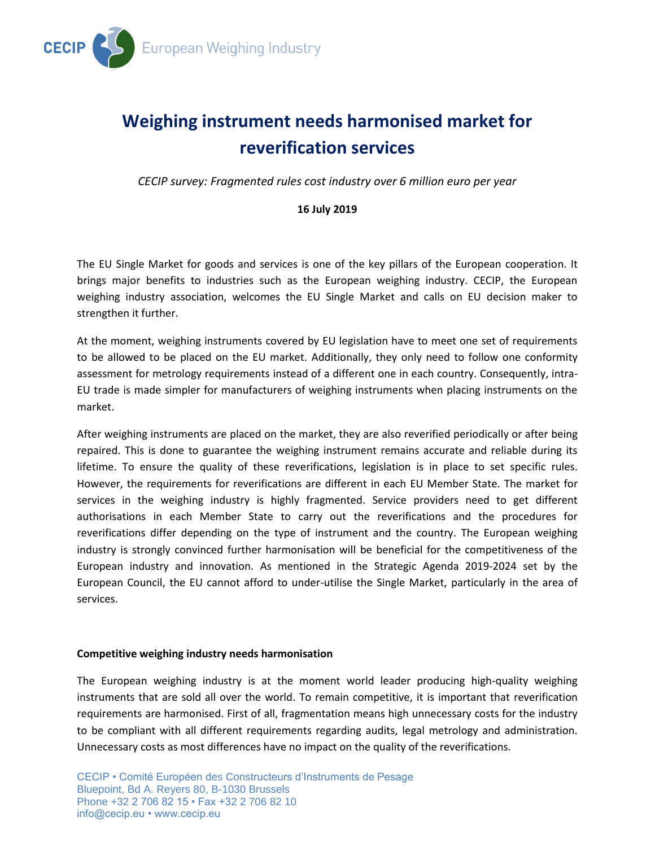

# **Weighing instrument needs harmonised market for reverification services**

*CECIP survey: Fragmented rules cost industry over 6 million euro per year*

## **16 July 2019**

The EU Single Market for goods and services is one of the key pillars of the European cooperation. It brings major benefits to industries such as the European weighing industry. CECIP, the European weighing industry association, welcomes the EU Single Market and calls on EU decision maker to strengthen it further.

At the moment, weighing instruments covered by EU legislation have to meet one set of requirements to be allowed to be placed on the EU market. Additionally, they only need to follow one conformity assessment for metrology requirements instead of a different one in each country. Consequently, intra-EU trade is made simpler for manufacturers of weighing instruments when placing instruments on the market.

After weighing instruments are placed on the market, they are also reverified periodically or after being repaired. This is done to guarantee the weighing instrument remains accurate and reliable during its lifetime. To ensure the quality of these reverifications, legislation is in place to set specific rules. However, the requirements for reverifications are different in each EU Member State. The market for services in the weighing industry is highly fragmented. Service providers need to get different authorisations in each Member State to carry out the reverifications and the procedures for reverifications differ depending on the type of instrument and the country. The European weighing industry is strongly convinced further harmonisation will be beneficial for the competitiveness of the European industry and innovation. As mentioned in the Strategic Agenda 2019-2024 set by the European Council, the EU cannot afford to under-utilise the Single Market, particularly in the area of services.

## **Competitive weighing industry needs harmonisation**

The European weighing industry is at the moment world leader producing high-quality weighing instruments that are sold all over the world. To remain competitive, it is important that reverification requirements are harmonised. First of all, fragmentation means high unnecessary costs for the industry to be compliant with all different requirements regarding audits, legal metrology and administration. Unnecessary costs as most differences have no impact on the quality of the reverifications.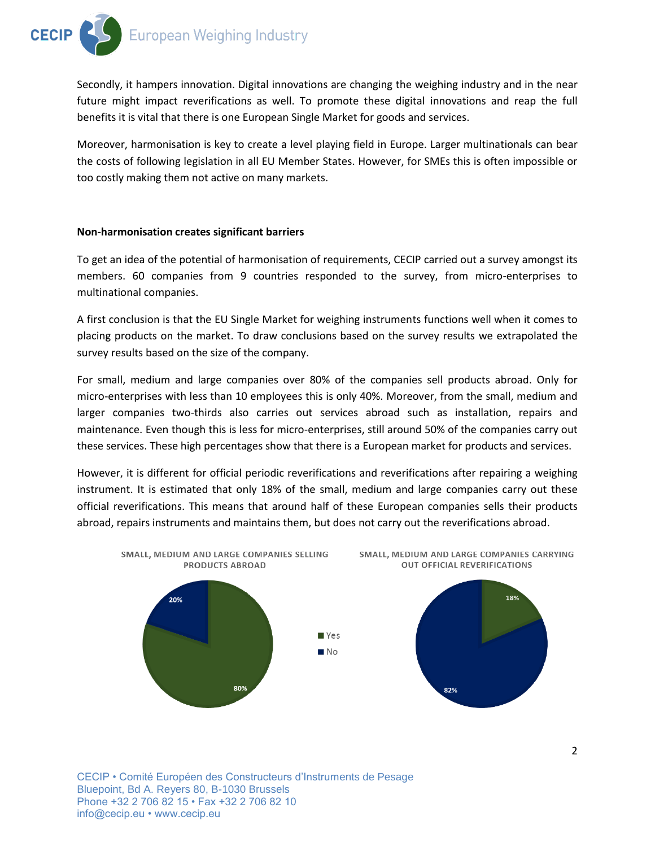Secondly, it hampers innovation. Digital innovations are changing the weighing industry and in the near future might impact reverifications as well. To promote these digital innovations and reap the full benefits it is vital that there is one European Single Market for goods and services.

Moreover, harmonisation is key to create a level playing field in Europe. Larger multinationals can bear the costs of following legislation in all EU Member States. However, for SMEs this is often impossible or too costly making them not active on many markets.

### **Non-harmonisation creates significant barriers**

To get an idea of the potential of harmonisation of requirements, CECIP carried out a survey amongst its members. 60 companies from 9 countries responded to the survey, from micro-enterprises to multinational companies.

A first conclusion is that the EU Single Market for weighing instruments functions well when it comes to placing products on the market. To draw conclusions based on the survey results we extrapolated the survey results based on the size of the company.

For small, medium and large companies over 80% of the companies sell products abroad. Only for micro-enterprises with less than 10 employees this is only 40%. Moreover, from the small, medium and larger companies two-thirds also carries out services abroad such as installation, repairs and maintenance. Even though this is less for micro-enterprises, still around 50% of the companies carry out these services. These high percentages show that there is a European market for products and services.

However, it is different for official periodic reverifications and reverifications after repairing a weighing instrument. It is estimated that only 18% of the small, medium and large companies carry out these official reverifications. This means that around half of these European companies sells their products abroad, repairs instruments and maintains them, but does not carry out the reverifications abroad.



CECIP • Comité Européen des Constructeurs d'Instruments de Pesage Bluepoint, Bd A. Reyers 80, B-1030 Brussels Phone +32 2 706 82 15 • Fax +32 2 706 82 10 info@cecip.eu • www.cecip.eu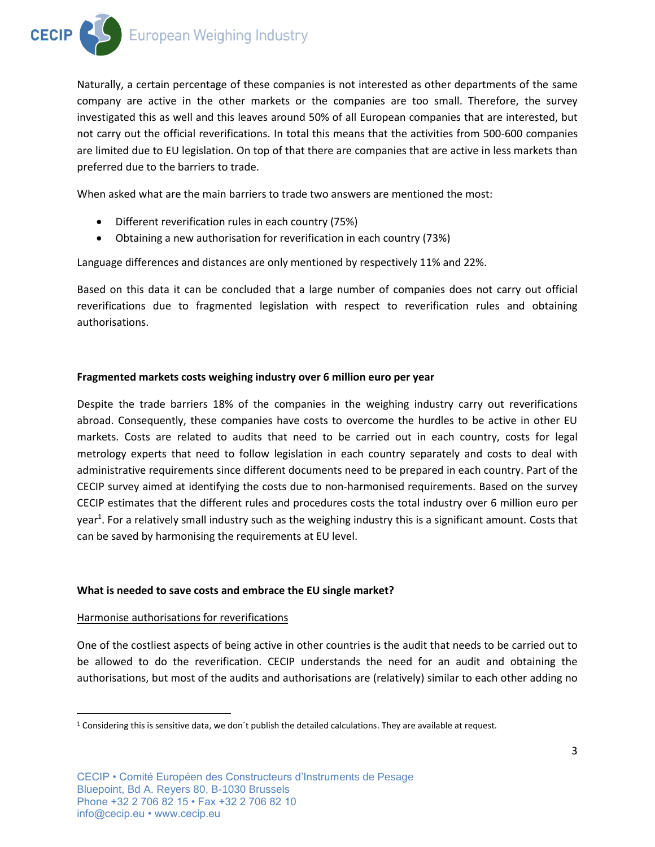

Naturally, a certain percentage of these companies is not interested as other departments of the same company are active in the other markets or the companies are too small. Therefore, the survey investigated this as well and this leaves around 50% of all European companies that are interested, but not carry out the official reverifications. In total this means that the activities from 500-600 companies are limited due to EU legislation. On top of that there are companies that are active in less markets than preferred due to the barriers to trade.

When asked what are the main barriers to trade two answers are mentioned the most:

- Different reverification rules in each country (75%)
- Obtaining a new authorisation for reverification in each country (73%)

Language differences and distances are only mentioned by respectively 11% and 22%.

Based on this data it can be concluded that a large number of companies does not carry out official reverifications due to fragmented legislation with respect to reverification rules and obtaining authorisations.

#### **Fragmented markets costs weighing industry over 6 million euro per year**

Despite the trade barriers 18% of the companies in the weighing industry carry out reverifications abroad. Consequently, these companies have costs to overcome the hurdles to be active in other EU markets. Costs are related to audits that need to be carried out in each country, costs for legal metrology experts that need to follow legislation in each country separately and costs to deal with administrative requirements since different documents need to be prepared in each country. Part of the CECIP survey aimed at identifying the costs due to non-harmonised requirements. Based on the survey CECIP estimates that the different rules and procedures costs the total industry over 6 million euro per year<sup>1</sup>. For a relatively small industry such as the weighing industry this is a significant amount. Costs that can be saved by harmonising the requirements at EU level.

#### **What is needed to save costs and embrace the EU single market?**

#### Harmonise authorisations for reverifications

 $\overline{\phantom{a}}$ 

One of the costliest aspects of being active in other countries is the audit that needs to be carried out to be allowed to do the reverification. CECIP understands the need for an audit and obtaining the authorisations, but most of the audits and authorisations are (relatively) similar to each other adding no

 $1$  Considering this is sensitive data, we don't publish the detailed calculations. They are available at request.